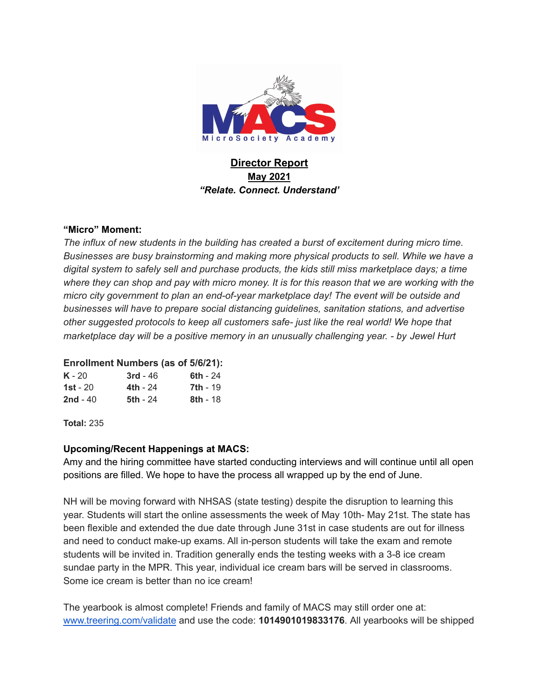

# **Director Report May 2021** *"Relate. Connect. Understand'*

### **"Micro" Moment:**

*The influx of new students in the building has created a burst of excitement during micro time. Businesses are busy brainstorming and making more physical products to sell. While we have a digital system to safely sell and purchase products, the kids still miss marketplace days; a time* where they can shop and pay with micro money. It is for this reason that we are working with the *micro city government to plan an end-of-year marketplace day! The event will be outside and businesses will have to prepare social distancing guidelines, sanitation stations, and advertise other suggested protocols to keep all customers safe- just like the real world! We hope that marketplace day will be a positive memory in an unusually challenging year. - by [Jewel](mailto:jhurt@macsnh.org) Hurt*

### **Enrollment Numbers (as of 5/6/21):**

| $K - 20$        | $3rd - 46$      | 6th - 24        |
|-----------------|-----------------|-----------------|
| <b>1st</b> - 20 | <b>4th - 24</b> | <b>7th - 19</b> |
| $2nd - 40$      | <b>5th - 24</b> | <b>8th</b> - 18 |

**Total:** 235

### **Upcoming/Recent Happenings at MACS:**

Amy and the hiring committee have started conducting interviews and will continue until all open positions are filled. We hope to have the process all wrapped up by the end of June.

NH will be moving forward with NHSAS (state testing) despite the disruption to learning this year. Students will start the online assessments the week of May 10th- May 21st. The state has been flexible and extended the due date through June 31st in case students are out for illness and need to conduct make-up exams. All in-person students will take the exam and remote students will be invited in. Tradition generally ends the testing weeks with a 3-8 ice cream sundae party in the MPR. This year, individual ice cream bars will be served in classrooms. Some ice cream is better than no ice cream!

The yearbook is almost complete! Friends and family of MACS may still order one at: [www.treering.com/validate](http://www.treering.com/validate) and use the code: **1014901019833176**. All yearbooks will be shipped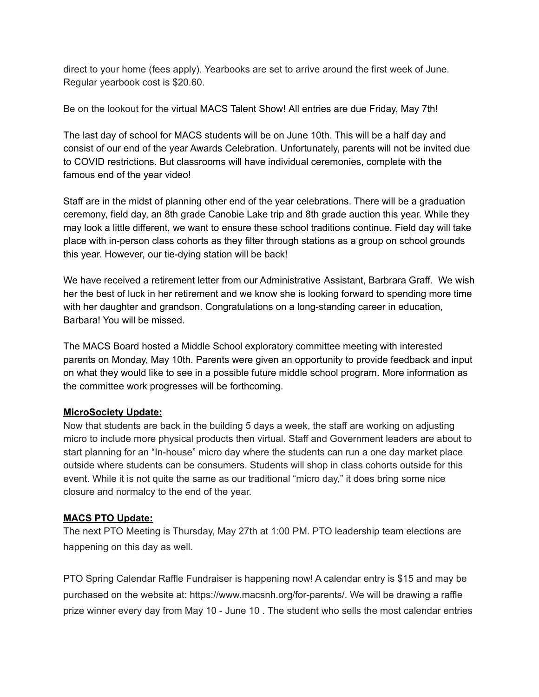direct to your home (fees apply). Yearbooks are set to arrive around the first week of June. Regular yearbook cost is \$20.60.

Be on the lookout for the virtual MACS Talent Show! All entries are due Friday, May 7th!

The last day of school for MACS students will be on June 10th. This will be a half day and consist of our end of the year Awards Celebration. Unfortunately, parents will not be invited due to COVID restrictions. But classrooms will have individual ceremonies, complete with the famous end of the year video!

Staff are in the midst of planning other end of the year celebrations. There will be a graduation ceremony, field day, an 8th grade Canobie Lake trip and 8th grade auction this year. While they may look a little different, we want to ensure these school traditions continue. Field day will take place with in-person class cohorts as they filter through stations as a group on school grounds this year. However, our tie-dying station will be back!

We have received a retirement letter from our Administrative Assistant, Barbrara Graff. We wish her the best of luck in her retirement and we know she is looking forward to spending more time with her daughter and grandson. Congratulations on a long-standing career in education, Barbara! You will be missed.

The MACS Board hosted a Middle School exploratory committee meeting with interested parents on Monday, May 10th. Parents were given an opportunity to provide feedback and input on what they would like to see in a possible future middle school program. More information as the committee work progresses will be forthcoming.

# **MicroSociety Update:**

Now that students are back in the building 5 days a week, the staff are working on adjusting micro to include more physical products then virtual. Staff and Government leaders are about to start planning for an "In-house" micro day where the students can run a one day market place outside where students can be consumers. Students will shop in class cohorts outside for this event. While it is not quite the same as our traditional "micro day," it does bring some nice closure and normalcy to the end of the year.

# **MACS PTO Update:**

The next PTO Meeting is Thursday, May 27th at 1:00 PM. PTO leadership team elections are happening on this day as well.

PTO Spring Calendar Raffle Fundraiser is happening now! A calendar entry is \$15 and may be purchased on the website at: https://www.macsnh.org/for-parents/. We will be drawing a raffle prize winner every day from May 10 - June 10 . The student who sells the most calendar entries